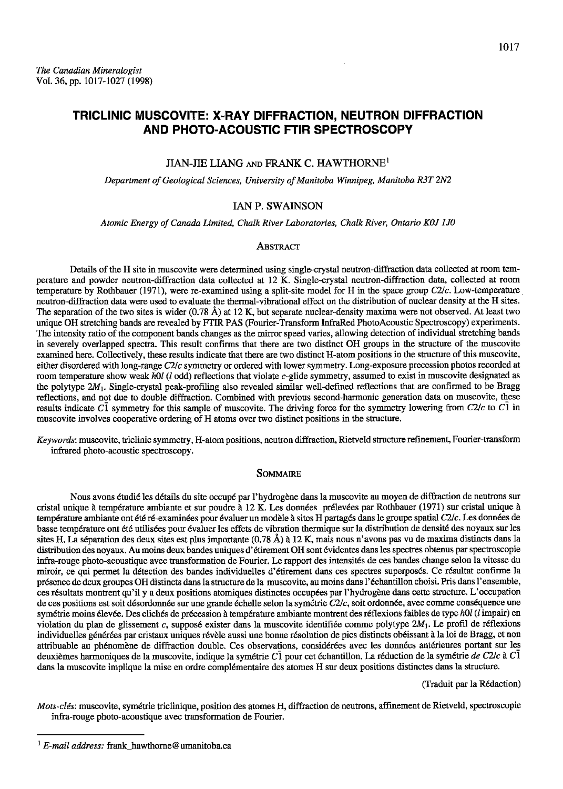# TRICLINIC MUSCOVITE: X-RAY DIFFRACTION, NEUTRON DIFFRACTION AND PHOTO.ACOUSTIC FTIR SPECTROSCOPY

### JIAN-IIE LIANG exo FRANK C. HAWTHORNE'

Department of Geological Sciences, University of Manitoba Winnipeg, Manitoba R3T 2N2

# IAN P. SWAINSON

Atomic Energy of Canada Limited, Chalk River Laboratories, Chalk River, Ontario K0J 1J0

#### **ABSTRACT**

Details of the H site in muscovite were determined using single-crystal neutron-diffraction data collected at room temperature and powder neutron-diffraction data collected at 12 K. Single-crystal neutron-diffraction data, collected at room temperature by Rothbauer (1971), were re-examined using a split-site model for H in the space group C2/c. Low-temperature neutron-ditftaction data were used to evaluate the thermal-vibrational effect on the distribution of nuclear density at the H sites. The separation of the two sites is wider (0.78 Å) at 12 K, but separate nuclear-density maxima were not observed. At least two unique OH stretching bands are revealed by FTIR PAS (Fourier-Transform InfraRed PhotoAcoustic Spectroscopy) experiments. The intensity ratio of the component bands changes as the mirror speed varies, allowing detection of individual stretching bands in severely overlapped spectra. This result confirms that there are two distinct OH groups in the structure of the muscovite examined here. Collectively, these results indicate that there are two distinct H-atom positions in the structure of this muscovite, either disordered with long-range C2/c symmetry or ordered with lower symmetry. Long-exposure precession photos recorded at room temperature show weak holl (l odd) reflections that violate c-glide symmetry, assumed to exist in muscovite designated as the polytype  $2M_1$ . Single-crystal peak-profiling also revealed similar well-defined reflections that are confirmed to be Bragg reflections, and not due to double diffraction. Combined with previous second-harmonic generation data on muscovite, thcse results indicate Cl symmetry for this sample of muscovite. The driving force for the symmetry lowering from  $C2/c$  to Cl in muscovite involves cooperative ordering of H atoms over two distinct positions in the structure.

Keywords: muscovite, triclinic symmetry, H-atom positions, neutron diffraction, Rietveld structure refinement, Fourier-transform infrared photo-acoustic spectroscopy.

### SOMMAIRE

Nous avons étudié les détails du site occupé par l'hydrogène dans la muscovite au moyen de diffraction de neutrons sur cristal unique à température ambiante et sur poudre à 12 K. Les données prélevées par Rothbauer (1971) sur cristal unique à température ambiante ont été ré-examinées pour évaluer un modèle à sites H partagés dans le groupe spatial C2/c. Les données de basse température ont été utilisées pour évaluer les effets de vibration thermique sur la distribution de densité des noyaux sur les sites H. La séparation des deux sites est plus importante (0.78 Å) à 12 K, mais nous n'avons pas vu de maxima distincts dans la distribution des noyaux. Au moins deux bandes uniques d'dtirement OH sont 6videntes dens les spectres obtenus par spectroscopie infra-rouge photo-acoustique avec transformation de Fourier. Le rapport des intensités de ces bandes change selon la vitesse du miroir, ce qui permet la détection des bandes individuelles d'étirement dans ces spectres superposés. Ce résultat confirme la pr6sence de deux groupes OH distincts dans la structure de la muscovite, au moins dans l'6chantillon choisi. Pris dans I'ensemble, ces résultats montrent qu'il y a deux positions atomiques distinctes occupées par l'hydrogène dans cette structure. L'occupation de ces positions est soit désordonnée sur une grande échelle selon la symétrie C2lc, soit ordonnée, avec comme conséquence une symétrie moins élevée. Des clichés de précession à température ambiante montrent des réflexions faibles de type h0l (l impair) en violation du plan de glissement c, supposé exister dans la muscovite identifiée comme polytype  $2M_1$ . Le profil de réflexions individuelles générées par cristaux uniques révèle aussi une bonne résolution de pics distincts obéissant à la loi de Bragg, et non attribuable au phénomène de diffraction double. Ces observations, considérées avec les données antérieures portant sur les deuxièmes harmoniques de la muscovite, indique la symétrie  $C\bar{l}$  pour cet échantillon. La réduction de la symétrie de C2/c à C $\bar{l}$ dans la muscovite implique la mise en ordre compl6mentaire des atomes H sur deux positions distinctes dans Ia structue.

(Iraduit par la R6daction)

Mots-clés: muscovite, symétrie triclinique, position des atomes H, diffraction de neutrons, affinement de Rietveld, spectroscopie infra-rouge photo-acoustique avec transformation de Fourier.

 $1$  E-mail address: frank hawthorne@umanitoba.ca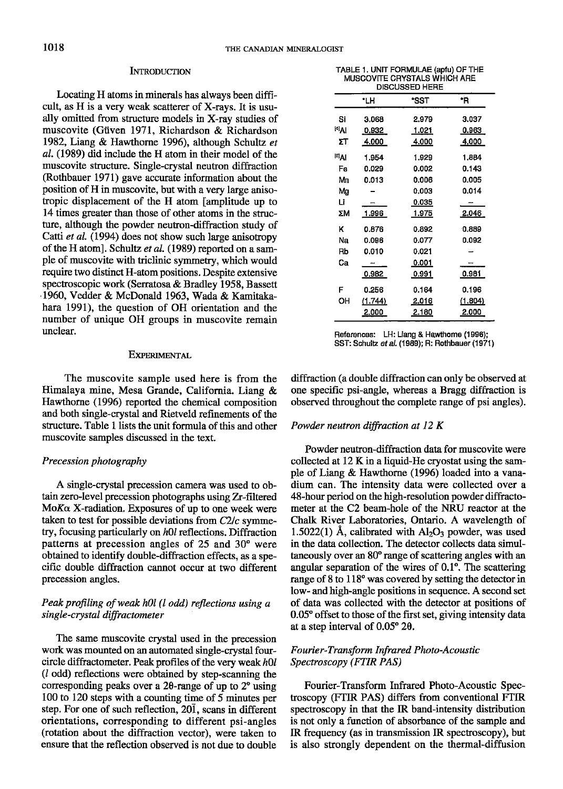### INTRODUCTION

Locating H atoms in minerals has always been difficult, as H is a very weak scatterer of X-rays. It is usually omitted from structure models in X-ray studies of muscovite (Giiven 1971, Richardson & Richardson 1982, Liang & Hawthorne 1996), although Schultz et aI. (1989) did include the H atom in their model of the muscovite structure. Single-crystal neutron diffraction (Rothbauer l97I) gave accurate information about the position of H in muscovite, but with a very large anisotropic displacement of the H atom [amplitude up to 14 times greater than those of other atoms in the structure, although the powder neutron-diffraction study of Catti et al. (1994) does not show such large anisotropy of the H atom]. Schultz et al. (1989) reported on a sample of muscovite with triclinic symmetry, which would require two distinct H-atom positions. Despite extensive spectroscopic work (Serratosa & Bradley 1958, Bassett 1960, Vedder & McDonald 1963, Wada & Kamitakahara 1991), the question of OH orientation and the number of unique OH groups in muscovite remain unclear.

#### EXPERIMENTAL

The muscovite sample used here is from the Himalaya mine, Mesa Grande, California. Liang & Hawthorne (1996) reported the chemical composition and both single-crystal and Rieweld refinements of the structure. Table 1 lists the unit formula of this and other muscovite samples discussed in the text,

# Precession photography

A single-crystal precession camera was used to obtain zero-level precession photographs using Zr-filtered  $M$ o $K\alpha$  X-radiation. Exposures of up to one week were taken to test for possible deviations from  $C2/c$  symmetry, focusing particularly on  $h0l$  reflections. Diffraction patterns at precession angles of 25 and 30" were obtained to identify double-diffraction effects, as a specific double diffraction cannot occur at two different precession angles.

# Peak profiling of weak h0l (l odd) reflections using a single-crystal diffractometer

The same muscovite crystal used in the precession work was mounted on an automated single-crystal fourcircle diffractometer. Peak profiles of the very weak  $h0l$  $(l \text{ odd})$  reflections were obtained by step-scanning the corresponding peaks over a 20-range of up to 2° using 100 to 120 steps with a counting time of 5 minutes per step. For one of such reflection, 201, scans in different orientations, corresponding to different psi-angles (rotation about the diffraction vector), were taken to ensure that the reflection observed is not due to double

TABLE 1. UNIT FORMULAE (apfu) oF THE MUSCOVITE CRYSTALS WHICH ABE DISCUSSED HERE

|                   | *LH     | *SST  | ۰Ŕ      |
|-------------------|---------|-------|---------|
| Si                | 3.068   | 2.979 | 3.037   |
| <sup>[4]</sup> Al | 0.932   | 1.021 | 0.963   |
| ΣТ                | 4.000   | 4.000 | 4.000   |
| $^{[6]}$ Al       | 1.954   | 1.929 | 1.884   |
| Fe                | 0.029   | 0.002 | 0.143   |
| Mn                | 0.013   | 0.006 | 0.005   |
| Mg                |         | 0.003 | 0.014   |
| Li                |         | 0.035 |         |
| ΣM                | 1.996   | 1.975 | 2.046   |
| κ                 | 0.876   | 0.892 | 0.889   |
| Νя                | 0.096   | 0.077 | 0.092   |
| Rb                | 0.010   | 0.021 |         |
| Cа                |         | 0.001 |         |
|                   | 0.982   | 0.991 | 0.981   |
| F                 | 0.256   | 0.164 | 0.196   |
| ОН                | (1.744) | 2.016 | (1.804) |
|                   | 2.000   | 2.180 | 2.000   |

References: LH: Liang & Hawthome (1996); SST: Schultz et al. (1989); R: Rothbauer (1971)

difftaction (a double diffraction can only be observed at one specific psi-angle, whereas a Bragg diffraction is observed throughout the complete range of psi angles).

# Powder neutron diffraction at  $12 K$

Powder neutron-diffraction data for muscovite were collected at 12 K in a liquid-He cryostat using the sample of Liang & Hawthome (1996) loaded into a vanadium can. The intensity data were collected over a 48-hour period on the high-resolution powder difftactometer at the C2 beam-hole of the NRU reactor at the Chalk River Laboratories, Ontario. A wavelength of 1.5022(1) Å, calibrated with  $Al_2O_3$  powder, was used in the data collection. The detector collects data simultaneously over an 80" range of scattering angles with an angular separation of the wires of 0.1". The scattering range of 8 to  $118^{\circ}$  was covered by setting the detector in low- and high-angle positions in sequence. A second set of data was collected with the detector at positions of 0.05° offset to those of the first set, giving intensity data at a step interval of  $0.05^{\circ}$  2 $\theta$ .

# Fourier-Transform Infrared Photo-Acoustic Spectroscopy (FTIR PAS)

Fourier-Transform Infrared Photo-Acoustic Spectroscopy (FTIR PAS) differs from conventional FIIR spectroscopy in that the IR band-intensity distribution is not only a function of absorbance of the sample and IR frequency (as in transmission IR spectroscopy), but is also strongly dependent on the thermal-diffusion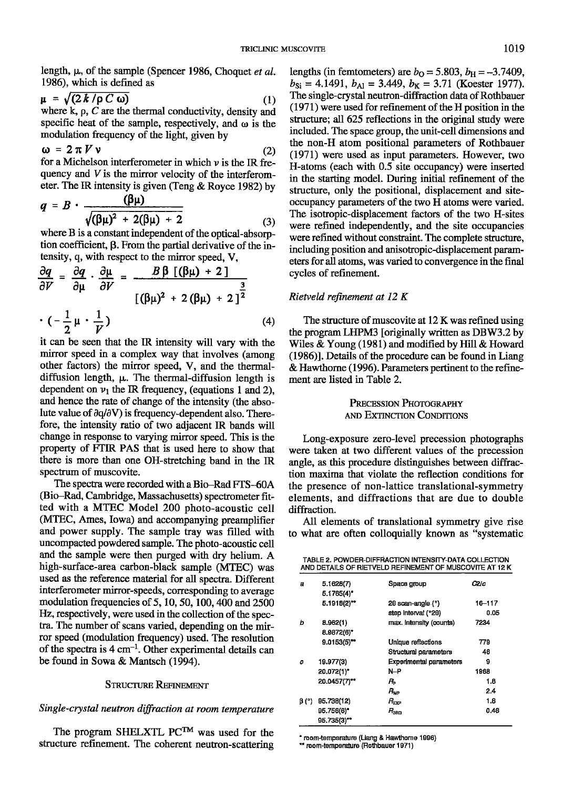length,  $\mu$ , of the sample (Spencer 1986, Choquet et al. 1986), which is defined as

$$
\mu = \sqrt{(2 k / \rho C \omega)}
$$
 (1)  
where k, p, C are the thermal conductivity, density and  
specific heat of the sample, respectively, and  $\omega$  is the  
modulation frequency of the light, given by

$$
\omega = 2 \pi V \nu \tag{2}
$$

for a Michelson interferometer in which  $\nu$  is the IR frequency and V is the mirror velocity of the interferometer. The IR intensity is given (Teng  $&$  Royce 1982) by

$$
q = B \cdot \frac{(\beta \mu)}{\sqrt{(\beta \mu)^2 + 2(\beta \mu) + 2}} \tag{3}
$$

where B is a constant independent of the optical-absorption coefficient,  $\beta$ . From the partial derivative of the intensity, q, with respect to the mirror speed, V,

$$
\frac{\partial q}{\partial V} = \frac{\partial q}{\partial \mu} \cdot \frac{\partial \mu}{\partial V} = \frac{B \beta \left[ (\beta \mu) + 2 \right]}{\left[ (\beta \mu)^2 + 2 (\beta \mu) + 2 \right]^{\frac{3}{2}}}
$$

$$
\cdot \left( -\frac{1}{2} \mu \cdot \frac{1}{V} \right) \tag{4}
$$

it can be seen that the IR intensity will vary with the mirror speed in a complex way that involves (among other factors) the mirror speed, V, and the thermaldiffusion length,  $\mu$ . The thermal-diffusion length is dependent on  $v_1$  the IR frequency, (equations 1 and 2), and hence the rate of change of the intensity (the absolute value of  $\partial q/\partial V$ ) is frequency-dependent also. Therefore, the intensity ratio of two adjacent IR bands will change in response to varying mirror speed. This is the property of FTIR PAS that is used here to show that there is more than one OH-stretching band in the IR spectrum of muscovite.

The spectra were recorded with a Bio-Rad FTS-60A (Bio-Rad, Cambridge, Massachusetts) spectrometer fitted with a MTEC Model 200 photo-acoustic cell (MTEC, Ames, Iowa) and accompanying preamplifier and power supply. The sample tray was filled with uncompacted powdered sample. The photo-acoustic cell and the sample were then purged with dry helium. A high-surface-area carbon-black sample (MTEC) was used as the reference material for all spectra. Different interferometer mirror-speeds, corresponding to average modulation frequencies of 5, 10, 50, 100, 400 and 2500 Hz, respectively, were used in the collection of the spectra, The number of scans varied, depending on the mirror speed (modulation frequency) used. The resolution of the spectra is  $4 \text{ cm}^{-1}$ . Other experimental details can be found in Sowa & Mantsch (1994).

### STRUCTURE REFINEMENT

# Single-crystal neutron diffraction at room temperature

The program SHELXTL PC<sup>TM</sup> was used for the structure refinement. The coherent neutron-scattering lengths (in femtometers) are  $b<sub>O</sub> = 5.803$ ,  $b<sub>H</sub> = -3.7409$ ,  $b_{\text{Si}} = 4.1491$ ,  $b_{\text{Al}} = 3.449$ ,  $b_{\text{K}} = 3.71$  (Koester 1977). The single-crystal neutron-diffraction data of Rothbauer  $(1971)$  were used for refinement of the H position in the structure; all 625 reflections in the original study were included. The space group, the unit-cell dimensions and the non-H atom positional parameters of Rothbauer (1971) were used as input parameters. However, two H-atoms (each with 0.5 site occupancy) were inserted in the starting model. During initial refinement of the structure, only the positional, displacement and siteoccupancy parameters of the two H atoms were varied. The isotropic-displacement factors of the two H-sites were refined independently, and the site occupancies were refined without constraint. The complete structure, including position and anisotropic-displacement parameters for all atoms, was varied to convergence in the final cycles of refinement.

### Rietveld refinement at  $12 K$

The structure of muscovite at 12 K was refined using the program LHPM3 [originally written as DBW3.2 by Wiles & Young (1981) and modified by Hill & Howard  $(1986)$ ]. Details of the procedure can be found in Liang & Hawthome (1996). Parameters pertinent to the refinement are listed in TabIe 2.

# PRECESSION PHOTOGRAPHY AND EXTINCTION CONDITIONS

Long-exposure zero-level precession photographs were taken at two different values of the precession angle, as this procedure distinguishes between diffraction maxima that violate the reflection conditions for the presence of non-lattice translational-symmetry elements, and diffractions that are due to double diffraction.

All elements of translational symmetry give rise to what are often colloquially known as "systematic

TABLE 2. POWDER-DIFFRACTION INTENSITY-DATA COLLECTION<br>AND DETAILS OF RIETVELD REFINEMENT OF MUSCOVITE AT 12 K

| a     | 5.1628(7)      | Space group             | C2/c   |
|-------|----------------|-------------------------|--------|
|       | $5.1765(4)$ *  |                         |        |
|       | $5.1918(2)$ ** | 20 scan-angle (°)       | 16-117 |
|       |                | step Interval (°20)     | 0.05   |
| b     | 8.962(1)       | max. Intensity (counts) | 7234   |
|       | 8.9872(6)*     |                         |        |
|       | $9.0153(5)$ ** | Unique reflections      | 779    |
|       |                | Structural parameters   | 46     |
| Ω     | 19.977(3)      | Experimental parameters | 9      |
|       | 20.072(1)*     | N—P                     | 1968   |
|       | 20.0457(7)**   | я,                      | 1.8    |
|       |                | $R_{\rm WP}$            | 24     |
| β (°) | 95.738(12)     | Rec                     | 1.6    |
|       | 95.756(6)*     | $R_{\rm BRO}$           | 0.46   |
|       | 95.735(3)**    |                         |        |

\* room-temperature (Liang & Hawthome 1996)<br>\*\* room-temperature (Rothbauer 1971)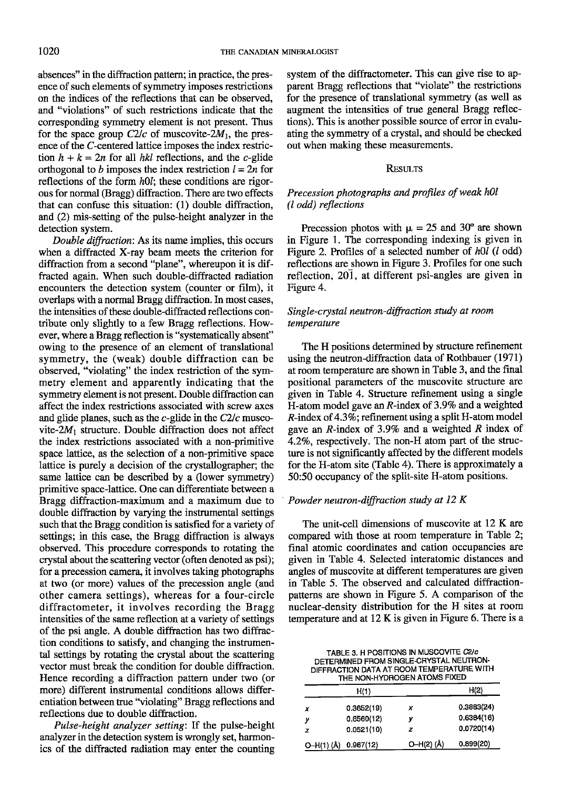absences" in the diffraction pattern; in practice, the presence of such elements of symmetry imposes restrictions on the indices of the reflections that can be observed, and "violations" of such restrictions indicate that the corresponding symmetry element is not present. Thus for the space group  $C2/c$  of muscovite-2 $M_1$ , the presence of the C-centered lattice imposes the index restriction  $h + k = 2n$  for all hkl reflections, and the c-glide orthogonal to b imposes the index restriction  $l = 2n$  for reflections of the form  $h0l$ ; these conditions are rigorous for normal (Bragg) diffraction. There are two effects that can confuse this situation: (l) double diffraction, and (2) mis-setting of the pulse-height analyzer in the detection system.

Double diffraction: As its name implies, this occurs when a diffracted X-ray beam meets the criterion for diffraction from a second "plane", whereupon it is diffracted again. When such double-diffracted radiation encounters the detection system (counter or film), it overlaps with a normal Bragg diffraction. In most cases, the intensities of these double-diffracted reflections contribute only slightly to a few Bragg reflections. However, where a Bragg reflection is "systematically absent" owing to the presence of an element of translational symmetry, the (weak) double diffraction can be observed, "violating" the index restriction of the symmetry element and apparently indicating that the symmetry element is not present. Double diffraction can affect the index restrictions associated with screw axes and glide planes, such as the  $c$ -glide in the  $C2/c$  muscovite- $2M_1$  structure. Double diffraction does not affect the index restrictions associated with a non-primitive space lattice, as the selection of a non-primitive space Iattice is purely a decision of the crystallographer; the same lattice can be described by a (lower symmetry) primitive space-lattice. One can differentiate between a Bragg diffraction-maximum and a maximum due to double diffraction by varying the instrumental settings such that the Bragg condition is satisfied for a variety of settings; in this case, the Bragg diffraction is always observed. This procedure corresponds to rotating the crystal about the scattering vector (often denoted as psi); for a precession camera, it involves taking photographs at two (or more) values of the precession angle (and other camera settings), whereas for a four-circle diffractometer, it involves recording the Bragg intensities of the same reflection at a variety of settings of the psi angle. A double diffraction has two diffraction conditions to satisfy, and changing the instrumental settings by rotating the crystal about the scattering vector must break the condition for double diffraction. Hence recording a diffraction pattern under two (or more) different instrumental conditions allows differentiation between true "violating" Bragg reflections and reflections due to double diffraction.

Pulse-height analyzer setting: If the pulse-height analyzer in the detection system is wrongly set, harmonics of the diffracted radiation mav enter the countins

system of the diffractometer. This can give rise to apparent Bragg reflections that "violate" the restrictions for the presence of translational symmetry (as well as augment the intensities of true general Bragg reflections). This is another possible source of error in evaluating the symmetry of a crystal, and should be checked out when making these measurements.

#### **RESULTS**

# Precession photographs and profiles of weak hOl (l odd) reflections

Precession photos with  $\mu = 25$  and 30° are shown in Figure 1. The corresponding indexing is given in Figure 2. Profiles of a selected number of  $h0l$  ( $l$  odd) reflections are shown in Figure 3. Profiles for one such reflection, 201, at different psi-angles are given in Figure 4.

# Single-crystal neutron-diffraction study at room temperature

The H positions determined by structure refinement using the neutron-diffraction data of Rothbauer (1971) at room temperature are shown in Table 3, and the final positional parameters of the muscovite structure are given in Table 4. Structure refinement using a single H-atom model gave an  $R$ -index of 3.9% and a weighted  $R$ -index of 4.3%; refinement using a split H-atom model gave an  $R$ -index of 3.9% and a weighted  $R$  index of 4.2%, respectively. The non-H atom part of the structure is not significantly affected by the different models for the H-atom site (Table 4). There is approximately a 50:50 occupancy of the split-site H-atom positions.

# Powder neutron-diffraction study at  $12 K$

The unit-cell dimensions of muscovite at 12 K are compared with those at room temperature in Table 2; final atomic coordinates and cation occupancies are given in Table 4. Selected interatomic distances and angles of muscovite at different temperatures are glven in Table 5. The observed and calculated diffractionpatterns are shown in Figure 5. A comparison of the nuclear-density distribution for the H sites at room temperature and at 12 K is given in Figure 6. There is a

TABLE 3. H POSITIONS IN MUSCOVITE C2/c DETERMINED FROM SINGLE.ORYSTAL NEUTRON-DIFFRACTION DATA AT ROOM TEMPERATURE WITH

| THE NON-HYDROGEN ATOMS FIXED |                      |           |            |
|------------------------------|----------------------|-----------|------------|
|                              | H(1)                 |           | H(2)       |
| x                            | 0.3652(19)           | x         | 0.3883(24) |
| У                            | 0.6560(12)           | ν         | 0.6384(16) |
| z                            | 0.0521(10)           | z         | 0.0720(14) |
|                              | O-H(1) (Å) 0.967(12) | O-H(2)(Å) | 0.899(20)  |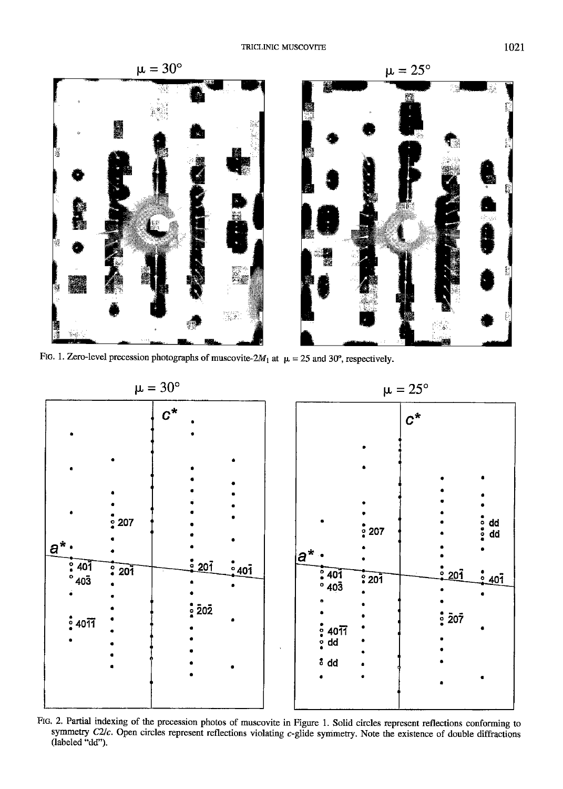

FIG. 1. Zero-level precession photographs of muscovite-2 $M_1$  at  $\mu = 25$  and 30°, respectively.



FIG. 2. Partial indexing of the precession photos of muscovite in Figure 1. Solid circles represent reflections conforming to symmetry  $C2/c$ . Open circles represent reflections violating  $c$ -glide symmetry. Note the existence of double diffractions (labeled "dd").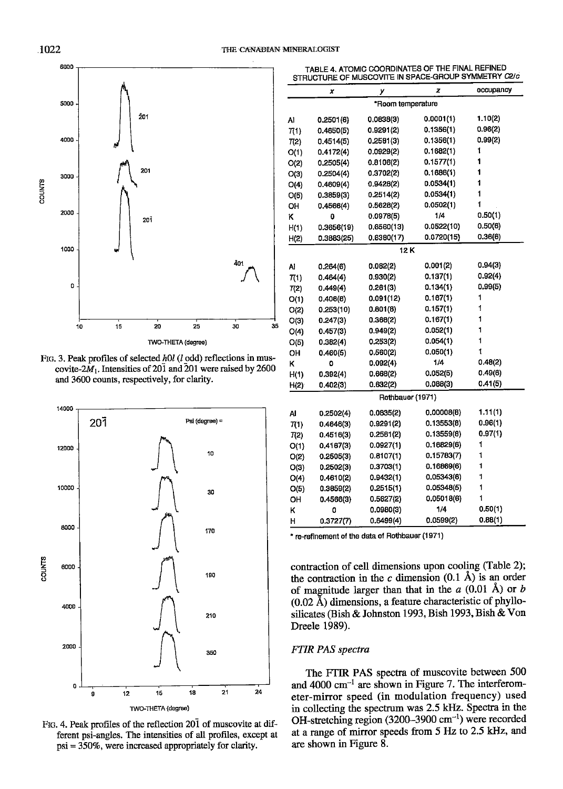

FIG. 3. Peak profiles of selected h0l (l odd) reflections in muscovite- $2M_1$ . Intensities of 201 and 201 were raised by 2600 and 3600 counts, respectively, for clarity.



Fig. 4. Peak profiles of the reflection 201 of muscovite at different psi-angles. The intensities of all profiles, except at  $psi = 350\%$ , were increased appropriately for clarity.

|      | ×          | у                 | z          | occupancy |
|------|------------|-------------------|------------|-----------|
|      |            | *Room temperature |            |           |
| Al   | 0.2501(6)  | 0.0838(3)         | 0.0001(1)  | 1.10(2)   |
| 7(1) | 0.4650(5)  | 0.9291(2)         | 0.1356(1)  | 0.96(2)   |
| T(2) | 0.4514(5)  | 0.2581(3)         | 0.1356(1)  | 0.99(2)   |
| O(1) | 0.4172(4)  | 0.0929(2)         | 0.1682(1)  | 1         |
| O(2) | 0.2505(4)  | 0.8106(2)         | 0.1577(1)  | 1         |
| O(3) | 0.2504(4)  | 0.3702(2)         | 0.1686(1)  | 1         |
| O(4) | 0.4609(4)  | 0.9428(2)         | 0.0534(1)  | 1         |
| O(5) | 0.3859(3)  | 0.2514(2)         | 0.0534(1)  | 1         |
| OН   | 0.4566(4)  | 0.5628(2)         | 0.0502(1)  | 1         |
| κ    | 0          | 0.0978(5)         | 1/4        | 0.50(1)   |
| H(1) | 0.3656(19) | 0.6560(13)        | 0.0522(10) | 0.50(6)   |
| H(2) | 0.3883(25) | 0.6380(17)        | 0.0720(15) | 0.36(6)   |
|      |            | 12 K              |            |           |
| Al   | 0.264(6)   | 0.082(2)          | 0.001(2)   | 0.94(3)   |
| 7(1) | 0.464(4)   | 0.930(2)          | 0.137(1)   | 0.92(4)   |
| 7(2) | 0.449(4)   | 0.261(3)          | 0.134(1)   | 0.99(5)   |
| O(1) | 0.406(8)   | 0.091(12)         | 0.167(1)   | 1         |
| O(2) | 0.253(10)  | 0.801(8)          | 0.157(1)   | 1         |
| O(3) | 0.247(3)   | 0.368(2)          | 0.167(1)   | 1         |
| O(4) | 0.457(3)   | 0.949(2)          | 0.052(1)   | 1         |
| O(5) | 0.382(4)   | 0.253(2)          | 0.054(1)   | 1         |
| ОΗ   | 0.460(5)   | 0.560(2)          | 0.050(1)   | 1         |
| κ    | ٥          | 0.092(4)          | 1/4        | 0.48(2)   |
| H(1) | 0.392(4)   | 0.668(2)          | 0.052(5)   | 0.49(6)   |
| H(2) | 0.402(3)   | 0.632(2)          | 0.088(3)   | 0.41(5)   |
|      |            | Rothbauer (1971)  |            |           |
| Al   | 0.2502(4)  | 0.0835(2)         | 0.00008(8) | 1.11(1)   |
| 7(1) | 0.4646(3)  | 0.9291(2)         | 0.13553(8) | 0.96(1)   |
| T(2) | 0.4516(3)  | 0.2581(2)         | 0.13559(8) | 0.97(1)   |
| O(1) | 0.4167(3)  | 0.0927(1)         | 0.16829(6) | 1         |
| O(2) | 0.2505(3)  | 0.8107(1)         | 0.15783(7) | 1         |
| O(3) | 0.2502(3)  | 0.3703(1)         | 0.16869(6) | 1         |
| O(4) | 0.4610(2)  | 0.9432(1)         | 0.05343(6) | 1         |
| O(5) | 0.3859(2)  | 0.2515(1)         | 0.05348(5) | 1         |
| OH   | 0.4566(3)  | 0.5627(2)         | 0.05018(6) | 1         |
| κ    | 0          | 0.0980(3)         | 1/4        | 0.50(1)   |
| н    | 0.3727(7)  | 0.6499(4)         | 0.0599(2)  | 0.88(1)   |

TABLE 4, ATOMIC COORDINATES OF THE FINAL REFINED STRUCTURE OF MUSCOVITE IN SPACE-GROUP SYMMETRY C2/c

\* re-refinement of the data of Rothbauer (1971)

contraction of cell dimensions upon cooling (Table 2); the contraction in the c dimension  $(0.1 \text{ Å})$  is an order of magnitude larger than that in the  $a$  (0.01 Å) or b  $(0.02 \text{ Å})$  dimensions, a feature characteristic of phyllosilicates (Bish & Johnston 1993, Bish 1993, Bish & Von Dreele 1989).

# **FTIR PAS** spectra

The FTIR PAS spectra of muscovite between 500 and 4000 cm<sup>-1</sup> are shown in Figure 7. The interferometer-mirror speed (in modulation frequency) used in collecting the spectrum was 2.5 kHz. Spectra in the OH-stretching region  $(3200-3900 \text{ cm}^{-1})$  were recorded at a range of mirror speeds from 5 Hz to 2.5 kHz, and are shown in Figure 8.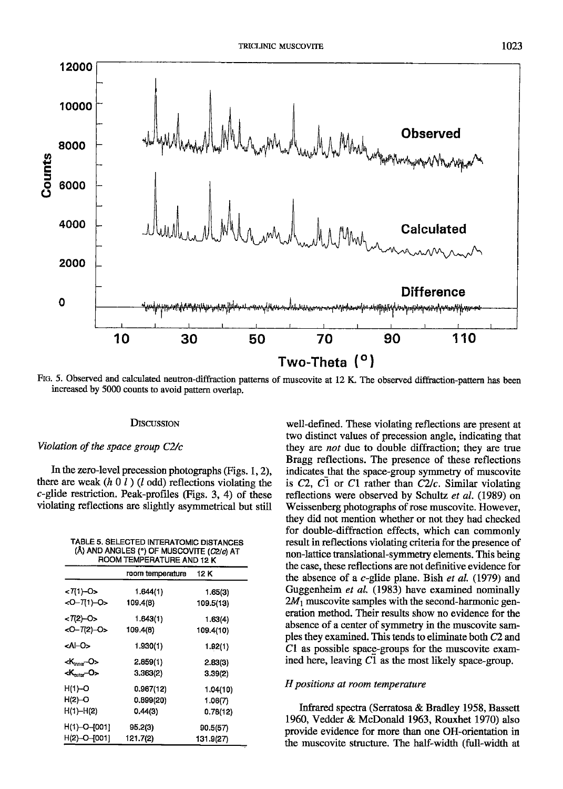

FIG. 5. Observed and calculated neutron-diffraction patterns of muscovite at 12 K. The observed diffraction-pattern has been increased by 5000 counts to avoid pattern overlap.

#### **DISCUSSION**

### Violation of the space group C2/c

In the zero-level precession photographs (Figs. 1, 2), there are weak  $(h \t0 \t1)$  (l odd) reflections violating the  $c$ -glide restriction. Peak-profiles (Figs. 3, 4) of these violating reflections are slightly asymmetrical but still

| TABLE 5, SELECTED INTERATOMIC DISTANCES<br>(Å) AND ANGLES (°) OF MUSCOVITE (C2/c) AT<br>ROOM TEMPERATURE AND 12 K |                  |           |
|-------------------------------------------------------------------------------------------------------------------|------------------|-----------|
|                                                                                                                   | room temperature | 12 K      |
| <7(1)-0>                                                                                                          | 1.644(1)         | 1.65(3)   |
| <0-7(1)-0>                                                                                                        | 109.4(8)         | 109.5(13) |
| $< 7(2)-O$                                                                                                        | 1.643(1)         | 1.63(4)   |
| <0-7(2)-0>                                                                                                        | 109.4(8)         | 109.4(10) |
| <al⊣o></al⊣o>                                                                                                     | 1.930(1)         | 1.92(1)   |
| $K_{\text{hner}}$ -0>                                                                                             | 2.859(1)         | 2.83(3)   |
| <k-0></k-0>                                                                                                       | 3.363(2)         | 3.39(2)   |
| H(1)-O                                                                                                            | 0.967(12)        | 1.04(10)  |
| $H(2)$ -O                                                                                                         | 0.899(20)        | 1.06(7)   |
| H(1)-H(2)                                                                                                         | 0.44(3)          | 0.78(12)  |
| H(1)-O-[001]                                                                                                      | 95.2(3)          | 90.5(57)  |
| H(2)-O-[001]                                                                                                      | 121.7(2)         | 131.9(27) |
|                                                                                                                   |                  |           |

well-defined. These violating reflections are present at two distinct values of precession angle, indicating that they are not due to double diffraction; they are true Bragg reflections. The presence of these reflections indicates that the space-group symmetry of muscovite is  $C2$ ,  $C1$  or  $C1$  rather than  $C2/c$ . Similar violating reflections were observed by Schultz et al. (1989) on Weissenberg photographs of rose muscovite. However, they did not mention whether or not they had checked for double-diffraction effects, which can commonly result in reflections violating criteria for the presence of non-lattice translational-symmetry elements. This being the case, these reflections are not definitive evidence for the absence of a  $c$ -glide plane. Bish et al. (1979) and Guggenheim et al. (1983) have examined nominally  $2M_1$  muscovite samples with the second-harmonic generation method. Their results show no evidence for the absence of a center of symmetry in the muscovite samples they examined. This tends to eliminate both C2 and C1 as possible space-groups for the muscovite examined here, leaving  $C1$  as the most likely space-group.

#### H positions at room temperature

Infrared spectra (Serratosa & Bradley 1958, Bassett 1960, Vedder & McDonald 1963, Rouxhet 1970) also provide evidence for more than one OH-orientation in the muscovite structure. The half-width (full-width at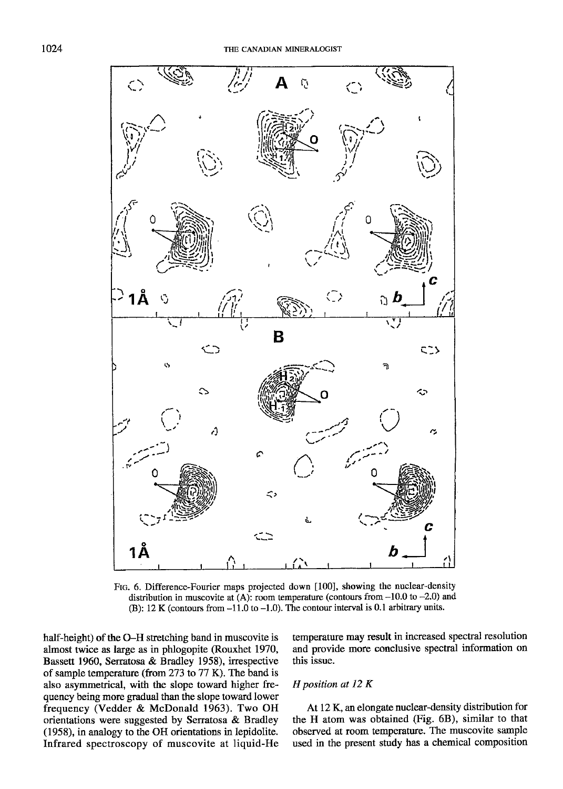

Flc. 6. Difference-Fourier maps projected down [100], showing the nuclear-density distribution in muscovite at  $(A)$ : room temperature (contours from  $-10.0$  to  $-2.0$ ) and (B): 12 K (contours from  $-11.0$  to  $-1.0$ ). The contour interval is 0.1 arbitrary units.

half-height) of the O-H stretching band in muscovite is ahnost twice as large as in phlogopite (Rouxhet 1970, Bassett 1960, Serratosa & Bradley 1958), irrespective of sample temperature (from 273 to  $77$  K). The band is also asymmetrical, with the slope toward higher frequency being more gradual than the slope toward lower frequency (Vedder & McDonald 1963). Two OH orientations were suggested by Serratosa & Bradley (1958), in analogy to the OH orientations in lepidolite. Infrared spectroscopy of muscovite at liquid-He temperature may result in increased spectral resolution and provide more conclusive spectral information on this issue.

# H position at 12 K

At 12K. an elongate nuclear-density distribution for the H atom was obtained (Fig. 68), similar to that observed at room temperature. The muscovite sample used in the present study has a chemical composition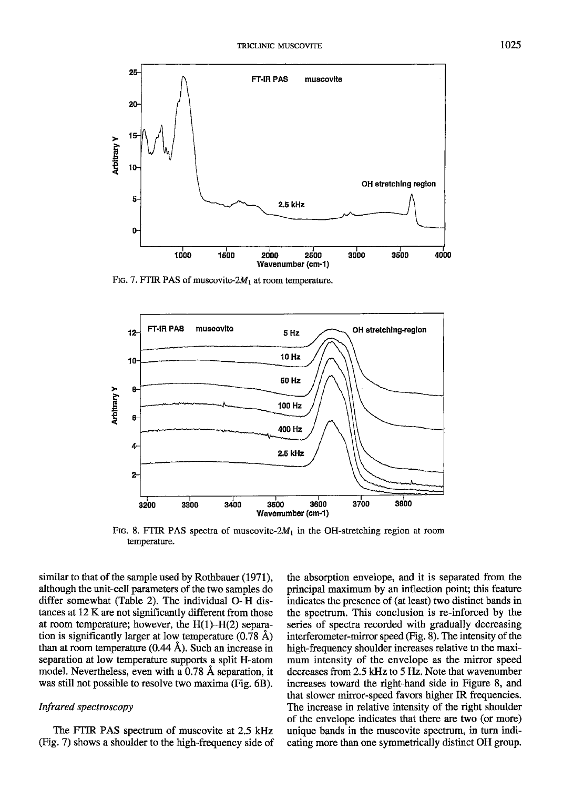

Ftg. 7. FTIR PAS of muscovite- $2M_1$  at room temperature.



FIG. 8. FTIR PAS spectra of muscovite- $2M_1$  in the OH-stretching region at room temperature.

similar to that of the sample used by Rothbauer (1971), although the unit-cell parameters of the two samples do differ somewhat (Table 2). The individual O-H distances at 12 K are not significantly different from those at room temperature; however, the  $H(1)$ - $H(2)$  separation is significantly larger at low temperature  $(0.78 \text{ Å})$ than at room temperature  $(0.44 \text{ Å})$ . Such an increase in separation at low temperature supports a split H-atom model. Nevertheless, even with a 0.78 A separation, it was still not possible to resolve two maxima (Fig. 6B).

# Infrared spectroscopy

The FTIR PAS spectrum of muscovite at 2.5 kHz (Ftg. 7) shows a shoulder to the high-frequency side of the absorption envelope, and it is separated from the principal maximum by an inflection point; this feature indicates the presence of (at least) two distinct bands in the spectrum. This conclusion is re-inforced by the series of spectra recorded with gradually decreasing interferometer-mirror speed (Fig. 8). The intensity of the high-frequency shoulder increases relative to the maximum intensity of the envelope as the mirror speed decreases from 2.5 kHz to 5 Hz. Note that wavenumber increases toward the right-hand side in Figure 8, and that slower mirror-speed favors higher IR frequencies. The increase in relative intensity of the right shoulder of the envelope indicates that there are two (or more) unique bands in the muscovile spectrum, in turn indicating more than one symmetrically distinct OH group.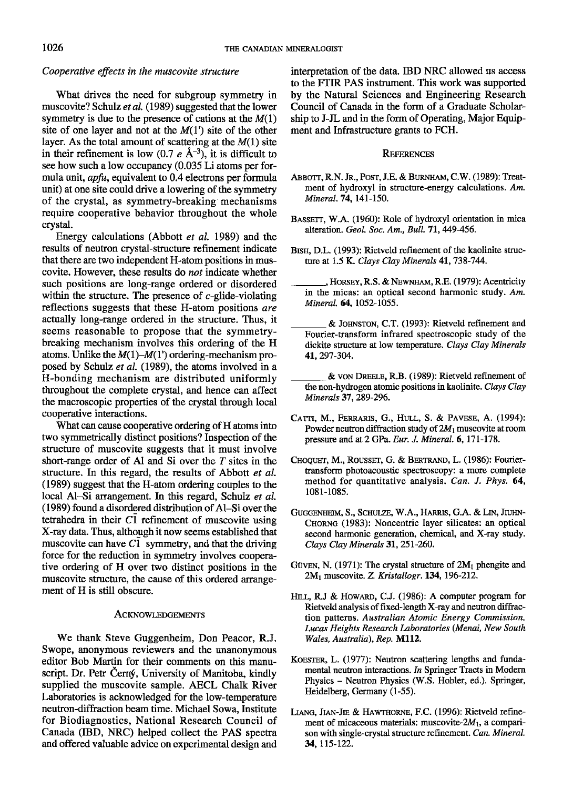# Cooperative effects in the muscovite structure

What drives the need for subgroup symmetry in muscovite? Schulz et al. (1989) suggested that the lower symmetry is due to the presence of cations at the  $M(1)$ site of one layer and not at the  $M(1')$  site of the other layer. As the total amount of scattering at the  $M(1)$  site in their refinement is low (0.7  $e \text{ Å}^{-3}$ ), it is difficult to see how such a low occupancy (0.035 Li atoms per formula unit, *apfu*, equivalent to 0.4 electrons per formula unit) at one site could drive a lowering of the symmetry of the crystal, as symmetry-breaking mechanisms require cooperative behavior throughout the whole crystal.

Energy calculations (Abbott et aI. 1989) and the results of neutron crystal-structure refinement indicate that there are two independent H-atom positions in muscovite. However, these results do not indicate whether such positions are long-range ordered or disordered within the structure. The presence of  $c$ -glide-violating reflections suggests that these H-atom positions are actually long-range ordered in the structure. Thus, it seems reasonable to propose that the symmetrybreaking mechanism involves this ordering of the H atoms. Unlike the  $M(1)$ - $M(1')$  ordering-mechanism proposed by Schulz er al. (1989), the atoms involved in a H-bonding mechanism are distributed uniformly throughout the complete crystal, and hence can affect the macroscopic properties of the crystal through local cooperative interactions.

What can cause cooperative ordering of H atoms into two symmetrically distinct positions? Inspection of the structure of muscovite suggests that it must involve short-range order of Al and Si over the  $T$  sites in the structure. In this regard, the results of Abbott et al. (1989) suggest that the H-atom ordering couples to the local Al-Si arrangement. In this regard, Schulz et al.  $(1989)$  found a disordered distribution of Al-Si over the tetrahedra in their  $C\overline{1}$  refinement of muscovite using X-ray data. Thus, although it now seems established that muscovite can have  $C\bar{1}$  symmetry, and that the driving force for the reduction in symmetry involves cooperative ordering of H over two distinct positions in the muscovite structure, the cause of this ordered arrangement of H is still obscure.

#### ACKNOWLEDGEMENTS

We thank Steve Guggenheim, Don Peacor, R.J. Swope, anonymous reviewers and the unanonymous editor Bob Martin for their comments on this manuscript. Dr. Petr Cerný, University of Manitoba, kindly supplied the muscovite sample. AECL Chalk River Iaboratories is acknowledged for the low-temperature neutron-diffraction beam time. Michael Sowa, Institute for Biodiagnostics, National Research Council of Canada (IBD, NRC) helped collect the PAS spectra and offered valuable advice on experimental design and interpretation of the data. IBD NRC allowed us access to the FTIR PAS instrument. This work was supported by the Natural Sciences and Engineering Research Council of Canada in the form of a Graduate Scholarship to J-JL and in the form of Operating, Major Equipment and Infrastructure grants to FCH.

# **REFERENCES**

- ABBOTT, R.N. Jr., POST, J.E. & BURNHAM, C.W. (1989): Treatment of hydroxyl in structure-energy calculations. An. Mineral.74, l4l-150.
- BASSETT, W.A. (1960): Role of hydroxyl orientation in mica alteration. Geol. Soc. Am., Bull. 71, 449-456.
- BISH, D.L. (1993): Rietveld refinement of the kaolinite structure at 1.5 K. Clays Clay Minerals 41, 738-744.
- , HORSEY, R.S. & NEWNHAM, R.E. (1979): Acentricity in the micas: an optical second harmonic study. Am. Mineral. 64, 1052-1055.
- & JOHNSTON, C.T. (1993): Rietveld refinement and Fourier-transform infrared spectroscopic study of the dickite structure at low temperature. Clays Clay Minerals 41.297-3M.
- & von DREELE, R.B. (1989): Rietveld refinement of the non-hydrogen atomic positions in kaolinite. Clays Clay Minerals 37, 289-296.
- CATTI, M., FERRARIS, G., HULL, S. & PAVESE, A. (1994): Powder neutron diffraction study of  $2M_1$  muscovite at room pressure and at 2 GPa. Eur. J. Mineral. 6, 171-178.
- CHOQUET, M., ROUSSET, G. & BERTRAND, L. (1986): Fouriertransform photoacoustic spectroscopy: a more complete method for quantitative analysis. Can. J. Phys. 64, l08l-1085.
- GUGGENHEIM, S., SCHULZE, W.A., HARRIS, G.A. & LIN, JIUHN-CHORNG (1983): Noncentric layer silicates: an optical second harmonic generation, chemical, and X-ray study. Clays Clay Minerals 31, 251-260.
- GÜVEN, N. (1971): The crystal structure of  $2M_1$  phengite and  $2M_1$  muscovite. Z. Kristallogr. 134, 196-212.
- HILL, R.J & HOWARD, C.J. (1986): A computer program for Rietveld analysis of fixed-length X-ray and neutron diffraction patterns. Awtralian Atomic Energy Commission, Lucas Heights Research Laboratories (Menai, New South Wales, Australia), Rep. M112.
- KOESTER, L. (1977): Neutron scattering lengths and fundamental neutron interactions. In Springer Tracts in Modern Physics - Neutron Physics (W.S. Hohler, ed.). Springer, Heidelberg, Germany (1-55).
- LIANG, JIAN-JIE & HAWTHORNE, F.C. (1996): Rietveld refinement of micaceous materials: muscovite- $2M_1$ , a comparison with single-crystal structure refinement. Can. Mineral. 34, 115-122.